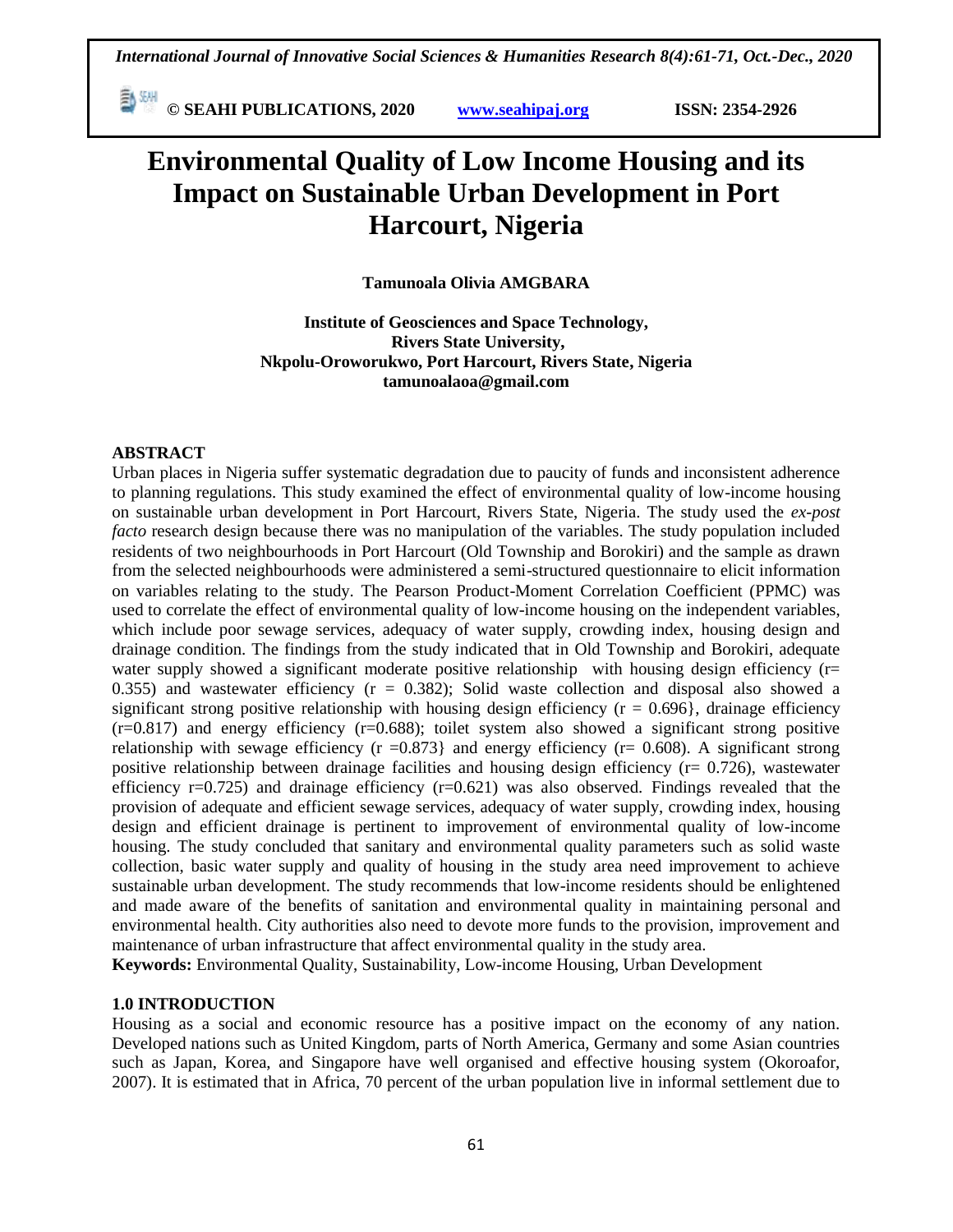**© SEAHI PUBLICATIONS, 2020 [www.seahipaj.org](http://www.seahipaj.org/) ISSN: 2354-2926** 

# **Environmental Quality of Low Income Housing and its Impact on Sustainable Urban Development in Port Harcourt, Nigeria**

**Tamunoala Olivia AMGBARA**

**Institute of Geosciences and Space Technology, Rivers State University, Nkpolu-Oroworukwo, Port Harcourt, Rivers State, Nigeria tamunoalaoa@gmail.com**

#### **ABSTRACT**

Urban places in Nigeria suffer systematic degradation due to paucity of funds and inconsistent adherence to planning regulations. This study examined the effect of environmental quality of low-income housing on sustainable urban development in Port Harcourt, Rivers State, Nigeria. The study used the *ex-post facto* research design because there was no manipulation of the variables. The study population included residents of two neighbourhoods in Port Harcourt (Old Township and Borokiri) and the sample as drawn from the selected neighbourhoods were administered a semi-structured questionnaire to elicit information on variables relating to the study. The Pearson Product-Moment Correlation Coefficient (PPMC) was used to correlate the effect of environmental quality of low-income housing on the independent variables, which include poor sewage services, adequacy of water supply, crowding index, housing design and drainage condition. The findings from the study indicated that in Old Township and Borokiri, adequate water supply showed a significant moderate positive relationship with housing design efficiency  $(r=$ 0.355) and wastewater efficiency ( $r = 0.382$ ); Solid waste collection and disposal also showed a significant strong positive relationship with housing design efficiency ( $r = 0.696$ ), drainage efficiency  $(r=0.817)$  and energy efficiency  $(r=0.688)$ ; toilet system also showed a significant strong positive relationship with sewage efficiency ( $r = 0.873$ ) and energy efficiency ( $r = 0.608$ ). A significant strong positive relationship between drainage facilities and housing design efficiency ( $r = 0.726$ ), wastewater efficiency  $r=0.725$ ) and drainage efficiency  $(r=0.621)$  was also observed. Findings revealed that the provision of adequate and efficient sewage services, adequacy of water supply, crowding index, housing design and efficient drainage is pertinent to improvement of environmental quality of low-income housing. The study concluded that sanitary and environmental quality parameters such as solid waste collection, basic water supply and quality of housing in the study area need improvement to achieve sustainable urban development. The study recommends that low-income residents should be enlightened and made aware of the benefits of sanitation and environmental quality in maintaining personal and environmental health. City authorities also need to devote more funds to the provision, improvement and maintenance of urban infrastructure that affect environmental quality in the study area.

**Keywords:** Environmental Quality, Sustainability, Low-income Housing, Urban Development

#### **1.0 INTRODUCTION**

Housing as a social and economic resource has a positive impact on the economy of any nation. Developed nations such as United Kingdom, parts of North America, Germany and some Asian countries such as Japan, Korea, and Singapore have well organised and effective housing system (Okoroafor, 2007). It is estimated that in Africa, 70 percent of the urban population live in informal settlement due to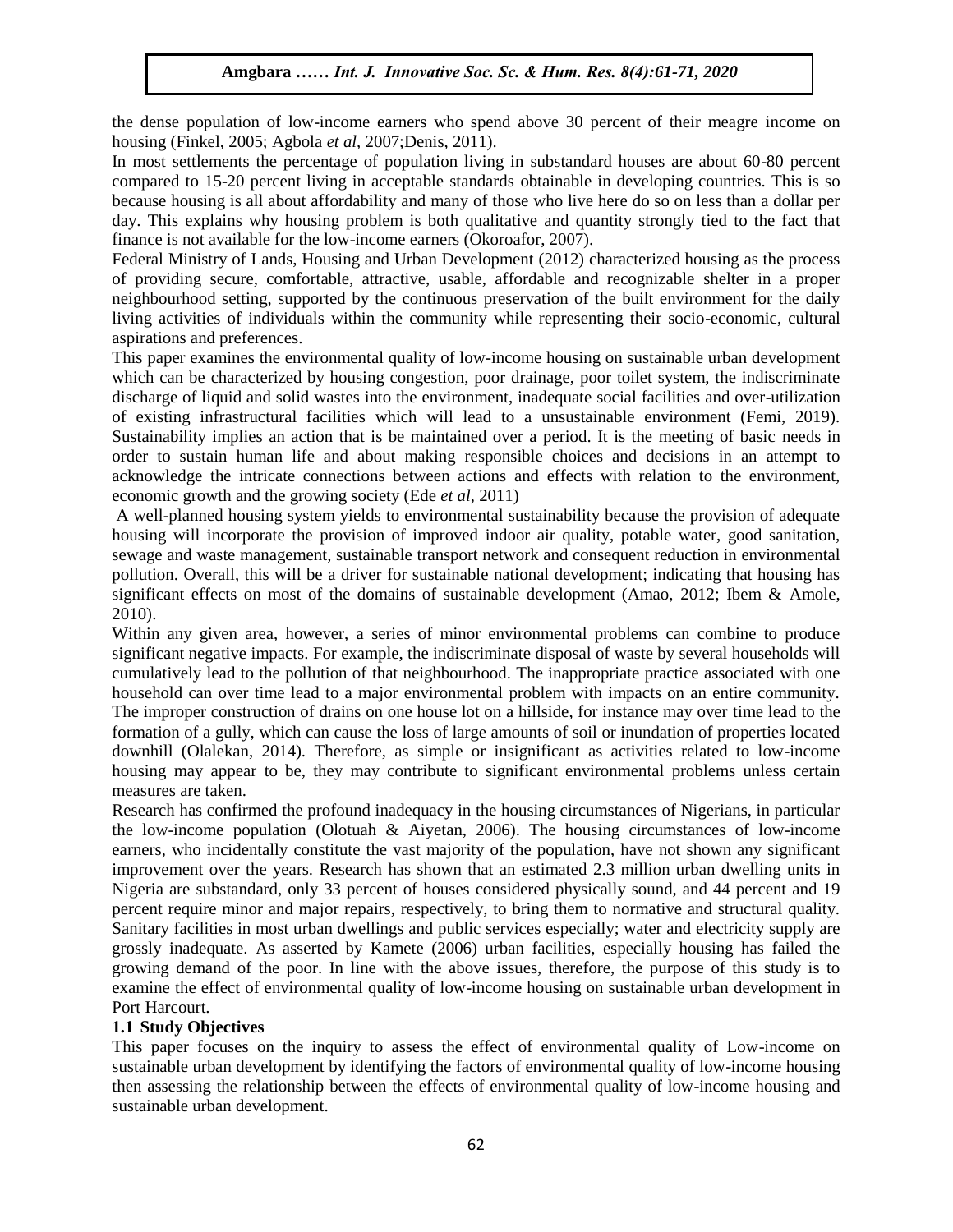the dense population of low-income earners who spend above 30 percent of their meagre income on housing (Finkel, 2005; Agbola *et al*, 2007;Denis, 2011).

In most settlements the percentage of population living in substandard houses are about 60-80 percent compared to 15-20 percent living in acceptable standards obtainable in developing countries. This is so because housing is all about affordability and many of those who live here do so on less than a dollar per because housing is an about arrondability and many of those who live here do so on less than a donar per day. This explains why housing problem is both qualitative and quantity strongly tied to the fact that finance is not available for the low-income earners (Okoroafor, 2007).

Federal Ministry of Lands, Housing and Urban Development (2012) characterized housing as the process of providing secure, comfortable, attractive, usable, affordable and recognizable shelter in a proper Intervalue of providing secure, commonatore, analytic, assume, another and recognizance sheller in a proper neighbourhood setting, supported by the continuous preservation of the built environment for the daily living activities of individuals within the community while representing their socio-economic, cultural aspirations and preferences.

This paper examines the environmental quality of low-income housing on sustainable urban development which can be characterized by housing congestion, poor drainage, poor toilet system, the indiscriminate which discharge of liquid and solid wastes into the environment, inadequate social facilities and over-utilization of existing infrastructural facilities which will lead to a unsustainable environment (Femi, 2019). Sustainability implies an action that is be maintained over a period. It is the meeting of basic needs in order to sustain human life and about making responsible choices and decisions in an attempt to sustain human life and about making responsible choices and decisions in an attempt to acknowledge the intricate connections between actions and effects with relation to the environment, economic growth and the growing society (Ede *et al*, 2011)

A well-planned housing system yields to environmental sustainability because the provision of adequate housing will incorporate the provision of improved indoor air quality, potable water, good sanitation, sewage and waste management, sustainable transport network and consequent reduction in environmental pollution. Overall, this will be a driver for sustainable national development; indicating that housing has significant effects on most of the domains of sustainable development (Amao, 2012; Ibem & Amole, 2010). Arugu Arugu & Wosu …… Internative Society. In the Human Society Society Society Society Society Society Society

Within any given area, however, a series of minor environmental problems can combine to produce significant negative impacts. For example, the indiscriminate disposal of waste by several households will cumulatively lead to the pollution of that neighbourhood. The inappropriate practice associated with one household can over time lead to a major environmental problem with impacts on an entire community. The improper construction of drains on one house lot on a hillside, for instance may over time lead to the formation of a gully, which can cause the loss of large amounts of soil or inundation of properties located downhill (Olalekan, 2014). Therefore, as simple or insignificant as activities related to low-income housing may appear to be, they may contribute to significant environmental problems unless certain measures are taken.

Research has confirmed the profound inadequacy in the housing circumstances of Nigerians, in particular the low-income population (Olotuah & Aiyetan, 2006). The housing circumstances of low-income earners, who incidentally constitute the vast majority of the population, have not shown any significant improvement over the years. Research has shown that an estimated 2.3 million urban dwelling units in Nigeria are substandard, only 33 percent of houses considered physically sound, and 44 percent and 19 percent require minor and major repairs, respectively, to bring them to normative and structural quality. Sanitary facilities in most urban dwellings and public services especially; water and electricity supply are grossly inadequate. As asserted by Kamete (2006) urban facilities, especially housing has failed the growing demand of the poor. In line with the above issues, therefore, the purpose of this study is to examine the effect of environmental quality of low-income housing on sustainable urban development in Port Harcourt.

### **1.1 Study Objectives**

This paper focuses on the inquiry to assess the effect of environmental quality of Low-income on sustainable urban development by identifying the factors of environmental quality of low-income housing then assessing the relationship between the effects of environmental quality of low-income housing and sustainable urban development.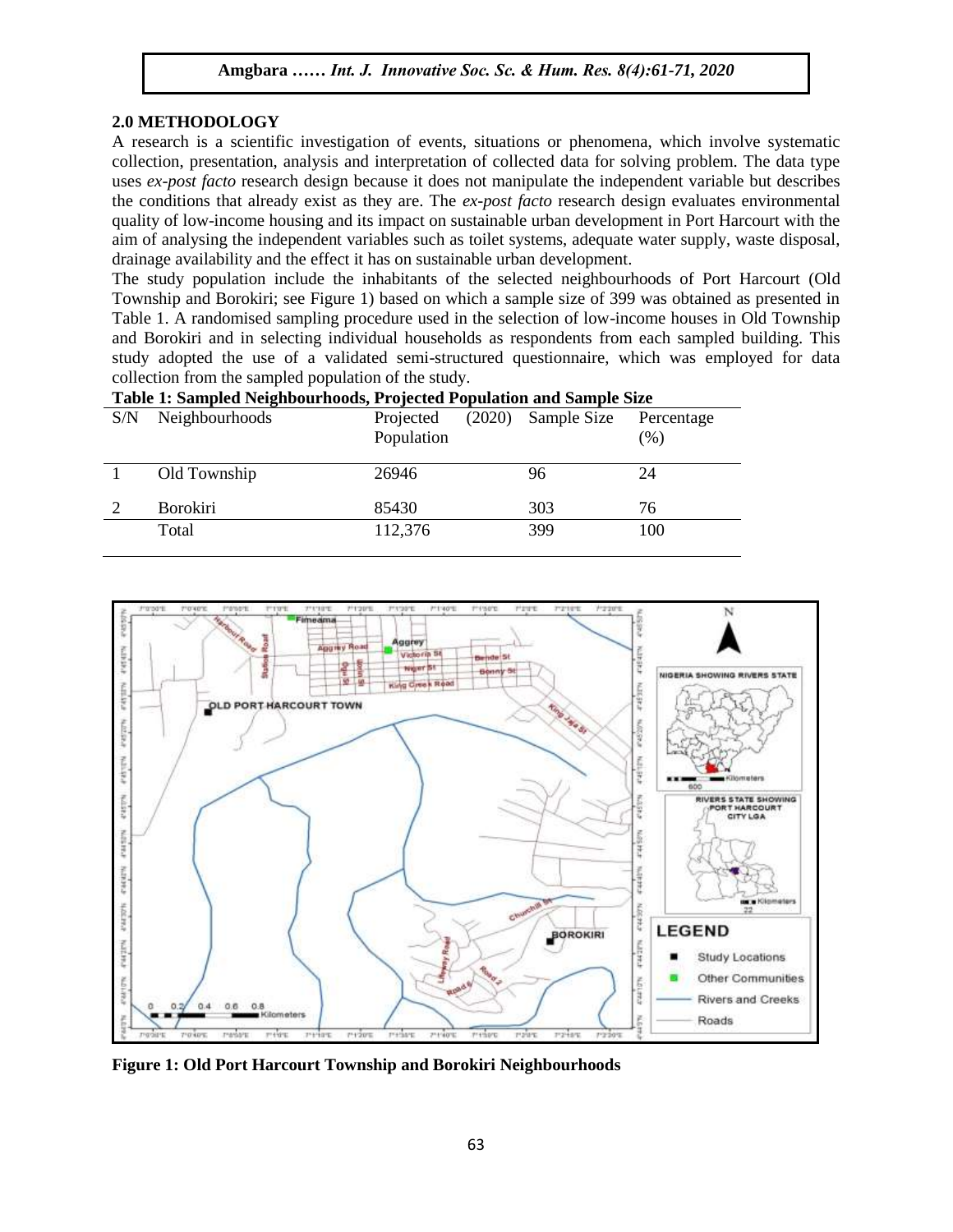#### **2.0 METHODOLOGY**

2.0 METHODOLOGT<br>A research is a scientific investigation of events, situations or phenomena, which involve systematic collection, presentation, analysis and interpretation of collected data for solving problem. The data type uses *ex-post facto* research design because it does not manipulate the independent variable but describes the conditions that already exist as they are. The *ex-post facto* research design evaluates environmental Inc conditions that already exist as they are. The *ex-post facto* research design evaluates environmental quality of low-income housing and its impact on sustainable urban development in Port Harcourt with the aim of analysing the independent variables such as toilet systems, adequate water supply, waste disposal, drainage availability and the effect it has on sustainable urban development.

The study population include the inhabitants of the selected neighbourhoods of Port Harcourt (Old Township and Borokiri; see Figure 1) based on which a sample size of 399 was obtained as presented in Table 1. A randomised sampling procedure used in the selection of low-income houses in Old Township and Borokiri and in selecting individual households as respondents from each sampled building. This study adopted the use of a validated semi-structured questionnaire, which was employed for data sollection from the semplod population of the study. collection from the sampled population of the study.

| Table 1. Sampled Neighbournoods, I rejected I optilation and Sample Size |                 |                         |                      |            |  |  |  |  |
|--------------------------------------------------------------------------|-----------------|-------------------------|----------------------|------------|--|--|--|--|
| S/N                                                                      | Neighbourhoods  | Projected<br>Population | $(2020)$ Sample Size | Percentage |  |  |  |  |
|                                                                          |                 |                         |                      | $(\%)$     |  |  |  |  |
|                                                                          | Old Township    | 26946                   | 96                   | 24         |  |  |  |  |
|                                                                          | <b>Borokiri</b> | 85430                   | 303                  | 76         |  |  |  |  |
|                                                                          | Total           | 112,376                 | 399                  | 100        |  |  |  |  |
|                                                                          |                 |                         |                      |            |  |  |  |  |

**Table 1: Sampled Neighbourhoods, Projected Population and Sample Size** 



**Figure 1: Old Port Harcourt Township and Borokiri Neighbourhoods**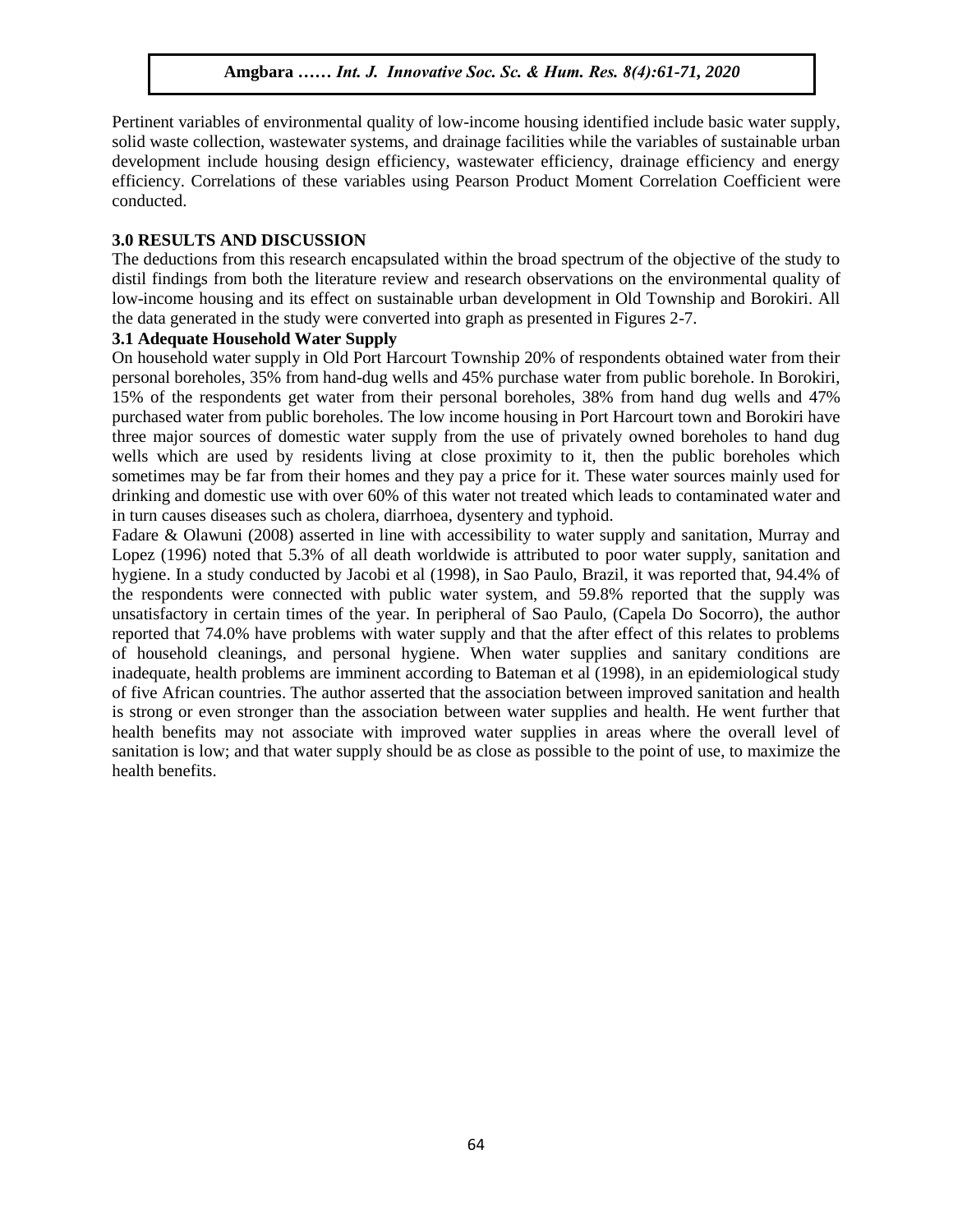Pertinent variables of environmental quality of low-income housing identified include basic water supply, refinent variables of environmental quarty of low-income housing identified include basic water suppry,<br>solid waste collection, wastewater systems, and drainage facilities while the variables of sustainable urban development include housing design efficiency, wastewater efficiency, drainage efficiency and energy efficiency. Correlations of these variables using Pearson Product Moment Correlation Coefficient were conducted.  $\mathbf{R}$ 

#### **3.0 RESULTS AND DISCUSSION**

The deductions from this research encapsulated within the broad spectrum of the objective of the study to distil findings from both the literature review and research observations on the environmental quality of alser maings from sour the interactive evident and research observations on the environmental quarty of low-income housing and its effect on sustainable urban development in Old Township and Borokiri. All the data generated in the study were converted into graph as presented in Figures 2-7.

# **3.1 Adequate Household Water Supply**

On household water supply in Old Port Harcourt Township 20% of respondents obtained water from their on household water suppry in ond I ort Francourt Township 20% or respondents obtained water from their<br>personal boreholes, 35% from hand-dug wells and 45% purchase water from public borehole. In Borokiri, 15% of the respondents get water from their personal boreholes, 38% from hand dug wells and 47% purchased water from public boreholes. The low income housing in Port Harcourt town and Borokiri have three major sources of domestic water supply from the use of privately owned boreholes to hand dug wells which are used by residents living at close proximity to it, then the public boreholes which wells sometimes may be far from their homes and they pay a price for it. These water sources mainly used for drinking and domestic use with over 60% of this water not treated which leads to contaminated water and in turn causes diseases such as cholera, diarrhoea, dysentery and typhoid.

In tain cases alseases seen as choicia, alamnoca, cysentery and typicial.<br>Fadare & Olawuni (2008) asserted in line with accessibility to water supply and sanitation, Murray and Lopez (1996) noted that 5.3% of all death worldwide is attributed to poor water supply, sanitation and hygiene. In a study conducted by Jacobi et al (1998), in Sao Paulo, Brazil, it was reported that, 94.4% of the respondents were connected with public water system, and 59.8% reported that the supply was unsatisfactory in certain times of the year. In peripheral of Sao Paulo, (Capela Do Socorro), the author unsatisfactory in certain times of the year. In peripheral of Sao Paulo, (Capela Do Socorro), the author reported that 74.0% have problems with water supply and that the after effect of this relates to problems of household cleanings, and personal hygiene. When water supplies and sanitary conditions are inadequate, health problems are imminent according to Bateman et al (1998), in an epidemiological study of five African countries. The author asserted that the association between improved sanitation and health is strong or even stronger than the association between water supplies and health. He went further that health benefits may not associate with improved water supplies in areas where the overall level of sanitation is low; and that water supply should be as close as possible to the point of use, to maximize the health benefits.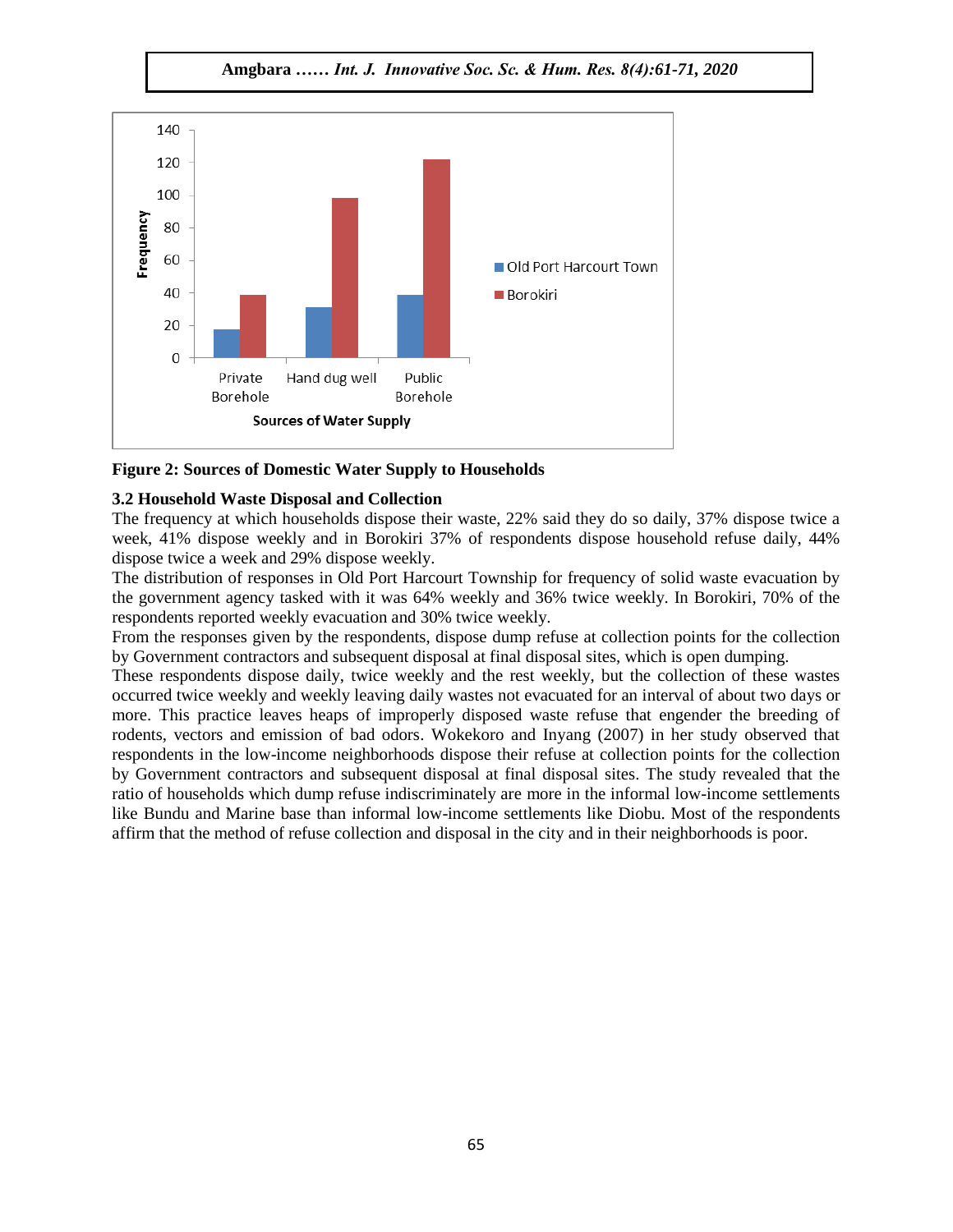**Amgbara** *…… Int. J. Innovative Soc. Sc. & Hum. Res. 8(4):61-71, 2020*





### **3.2 Household Waste Disposal and Collection**

The frequency at which households dispose their waste,  $22\%$  said they do so daily,  $37\%$  dispose twice a  $\frac{1}{2}$ week, 41% dispose weekly and in Borokiri 37% of respondents dispose household refuse daily, 44% dispose twice a week and 29% dispose weekly.

The distribution of responses in Old Port Harcourt Township for frequency of solid waste evacuation by the government agency tasked with it was 64% weekly and 36% twice weekly. In Borokiri, 70% of the respondents reported weekly evacuation and 30% twice weekly.

From the responses given by the respondents, dispose dump refuse at collection points for the collection by Government contractors and subsequent disposal at final disposal sites, which is open dumping.

These respondents dispose daily, twice weekly and the rest weekly, but the collection of these wastes occurred twice weekly and weekly leaving daily wastes not evacuated for an interval of about two days or more. This practice leaves heaps of improperly disposed waste refuse that engender the breeding of rodents, vectors and emission of bad odors. Wokekoro and Inyang (2007) in her study observed that respondents in the low-income neighborhoods dispose their refuse at collection points for the collection by Government contractors and subsequent disposal at final disposal sites. The study revealed that the ratio of households which dump refuse indiscriminately are more in the informal low-income settlements like Bundu and Marine base than informal low-income settlements like Diobu. Most of the respondents affirm that the method of refuse collection and disposal in the city and in their neighborhoods is poor.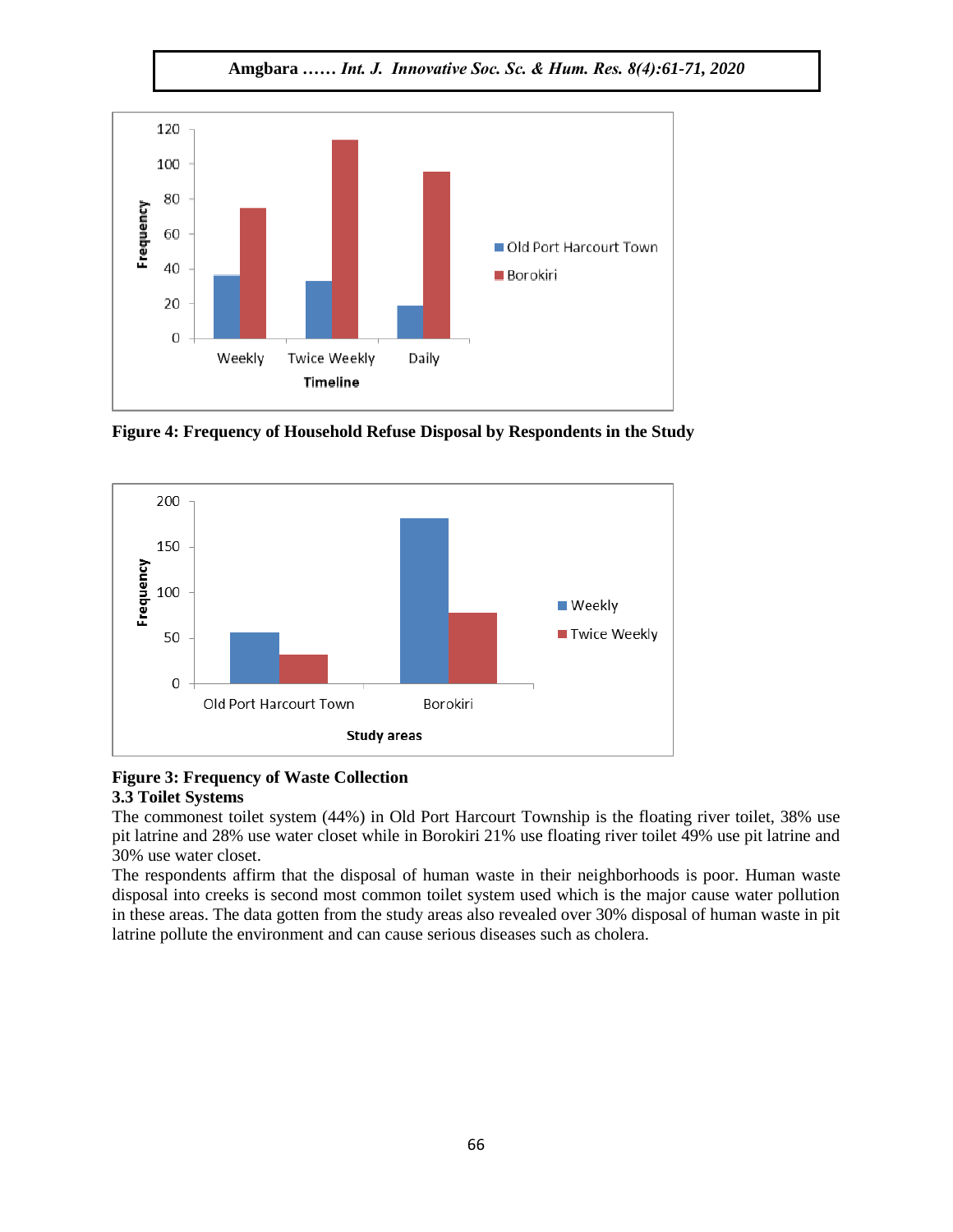**Amgbara** *…… Int. J. Innovative Soc. Sc. & Hum. Res. 8(4):61-71, 2020*



**Figure 4: Frequency of Household Refuse Disposal by Respondents in the Study**   $A = \{x_1, x_2, \ldots, x_n\}$ 



#### **Figure 3: Frequency of Waste Collection 3.3 Toilet Systems**

The commonest toilet system (44%) in Old Port Harcourt Township is the floating river toilet, 38% use pit latrine and 28% use water closet while in Borokiri 21% use floating river toilet 49% use pit latrine and 30% use water closet.

The respondents affirm that the disposal of human waste in their neighborhoods is poor. Human waste disposal into creeks is second most common toilet system used which is the major cause water pollution in these areas. The data gotten from the study areas also revealed over 30% disposal of human waste in pit latrine pollute the environment and can cause serious diseases such as cholera.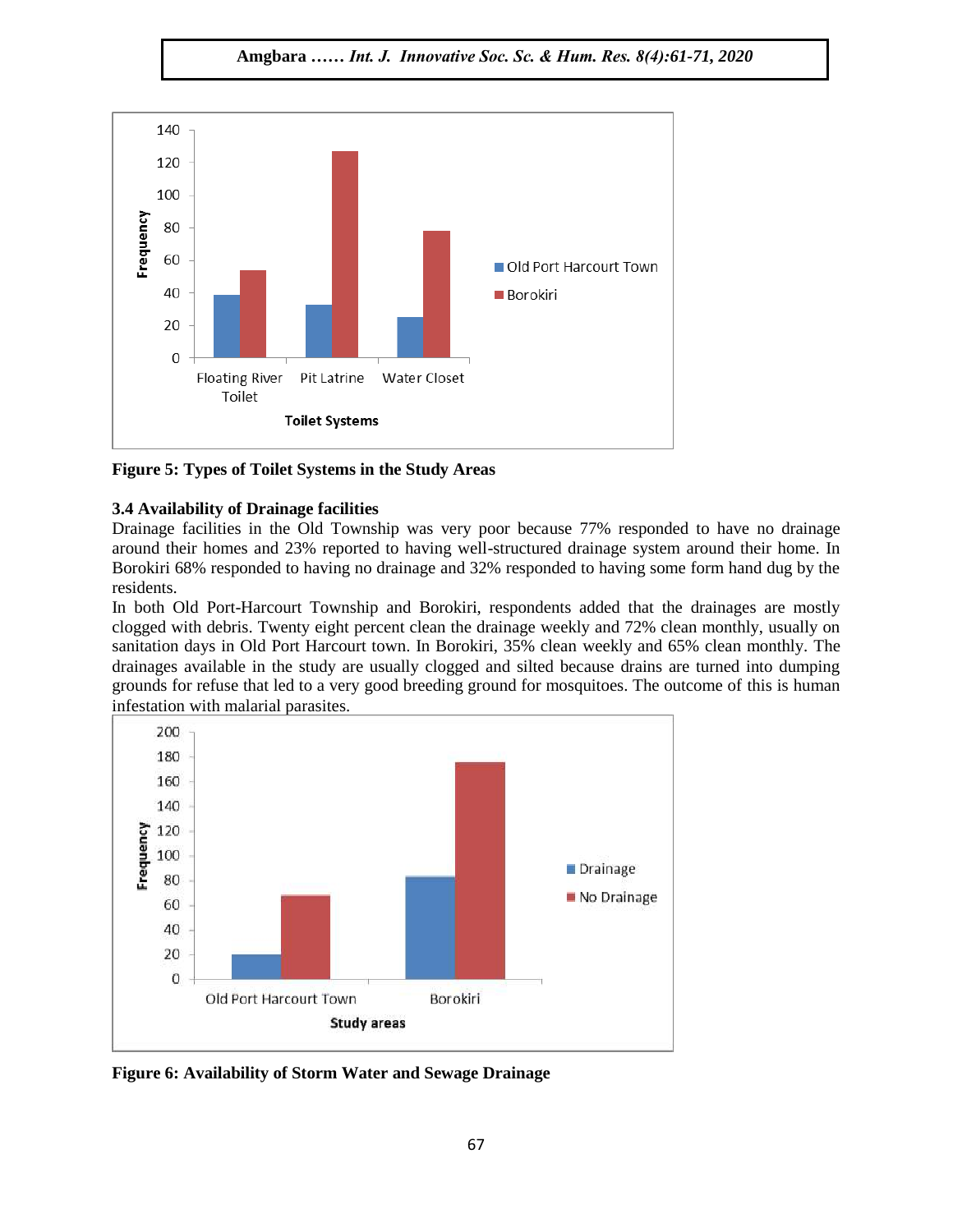**Amgbara** *…… Int. J. Innovative Soc. Sc. & Hum. Res. 8(4):61-71, 2020*



**Figure 5: Types of Toilet Systems in the Study Areas**

# **3.4 Availability of Drainage facilities**

Drainage facilities in the Old Township was very poor because 77% responded to have no drainage around their homes and 23% reported to having well-structured drainage system around their home. In Borokiri 68% responded to having no drainage and 32% responded to having some form hand dug by the residents.  $A_{\rm{max}}$  ,  $A_{\rm{max}}$  ,  $A_{\rm{max}}$  ,  $A_{\rm{max}}$  ,  $A_{\rm{max}}$  ,  $A_{\rm{max}}$  ,  $A_{\rm{max}}$ 

In both Old Port-Harcourt Township and Borokiri, respondents added that the drainages are mostly clogged with debris. Twenty eight percent clean the drainage weekly and 72% clean monthly, usually on sanitation days in Old Port Harcourt town. In Borokiri, 35% clean weekly and 65% clean monthly. The drainages available in the study are usually clogged and silted because drains are turned into dumping grounds for refuse that led to a very good breeding ground for mosquitoes. The outcome of this is human infestation with malarial parasites.



**Figure 6: Availability of Storm Water and Sewage Drainage**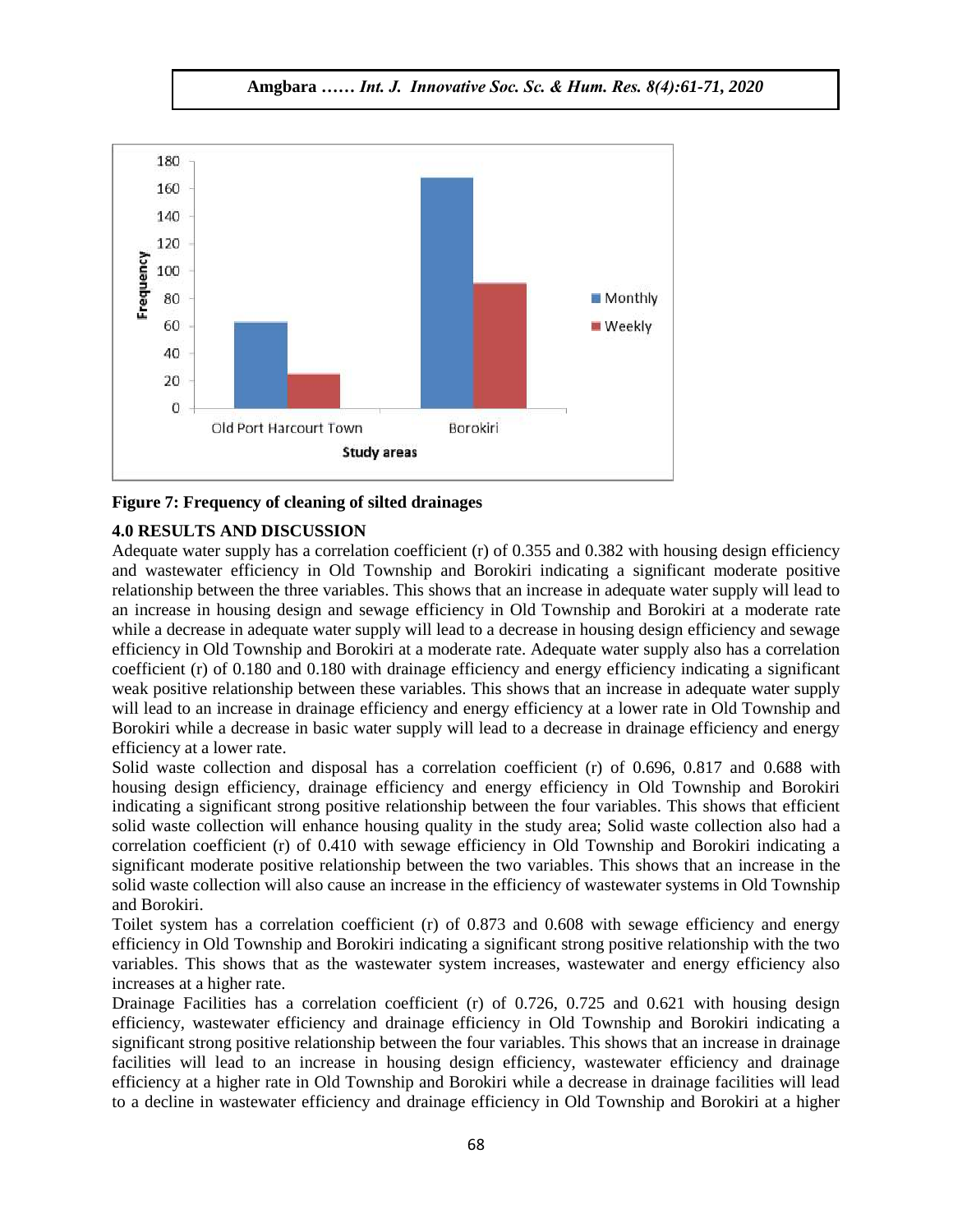![](_page_7_Figure_1.jpeg)

![](_page_7_Figure_2.jpeg)

#### **4.0 RESULTS AND DISCUSSION**

 $\frac{100 \text{ K}}{200 \text{ K}}$  and  $\frac{100 \text{ K}}{200 \text{ K}}$  and the Muslim coefficient (r) of 0.355 and 0.382 with housing design efficiency and wastewater efficiency in Old Township and Borokiri indicating a significant moderate positive relationship between the three variables. This shows that an increase in adequate water supply will lead to an increase in housing design and sewage efficiency in Old Township and Borokiri at a moderate rate while a decrease in adequate water supply will lead to a decrease in housing design efficiency and sewage efficiency in Old Township and Borokiri at a moderate rate. Adequate water supply also has a correlation coefficient (r) of 0.180 and 0.180 with drainage efficiency and energy efficiency indicating a significant weak positive relationship between these variables. This shows that an increase in adequate water supply will lead to an increase in drainage efficiency and energy efficiency at a lower rate in Old Township and Borokiri while a decrease in basic water supply will lead to a decrease in drainage efficiency and energy efficiency at a lower rate.

Solid waste collection and disposal has a correlation coefficient (r) of 0.696, 0.817 and 0.688 with housing design efficiency, drainage efficiency and energy efficiency in Old Township and Borokiri indicating a significant strong positive relationship between the four variables. This shows that efficient solid waste collection will enhance housing quality in the study area; Solid waste collection also had a correlation coefficient (r) of 0.410 with sewage efficiency in Old Township and Borokiri indicating a significant moderate positive relationship between the two variables. This shows that an increase in the solid waste collection will also cause an increase in the efficiency of wastewater systems in Old Township and Borokiri.

Toilet system has a correlation coefficient (r) of 0.873 and 0.608 with sewage efficiency and energy efficiency in Old Township and Borokiri indicating a significant strong positive relationship with the two variables. This shows that as the wastewater system increases, wastewater and energy efficiency also increases at a higher rate.

Drainage Facilities has a correlation coefficient (r) of 0.726, 0.725 and 0.621 with housing design efficiency, wastewater efficiency and drainage efficiency in Old Township and Borokiri indicating a significant strong positive relationship between the four variables. This shows that an increase in drainage facilities will lead to an increase in housing design efficiency, wastewater efficiency and drainage efficiency at a higher rate in Old Township and Borokiri while a decrease in drainage facilities will lead to a decline in wastewater efficiency and drainage efficiency in Old Township and Borokiri at a higher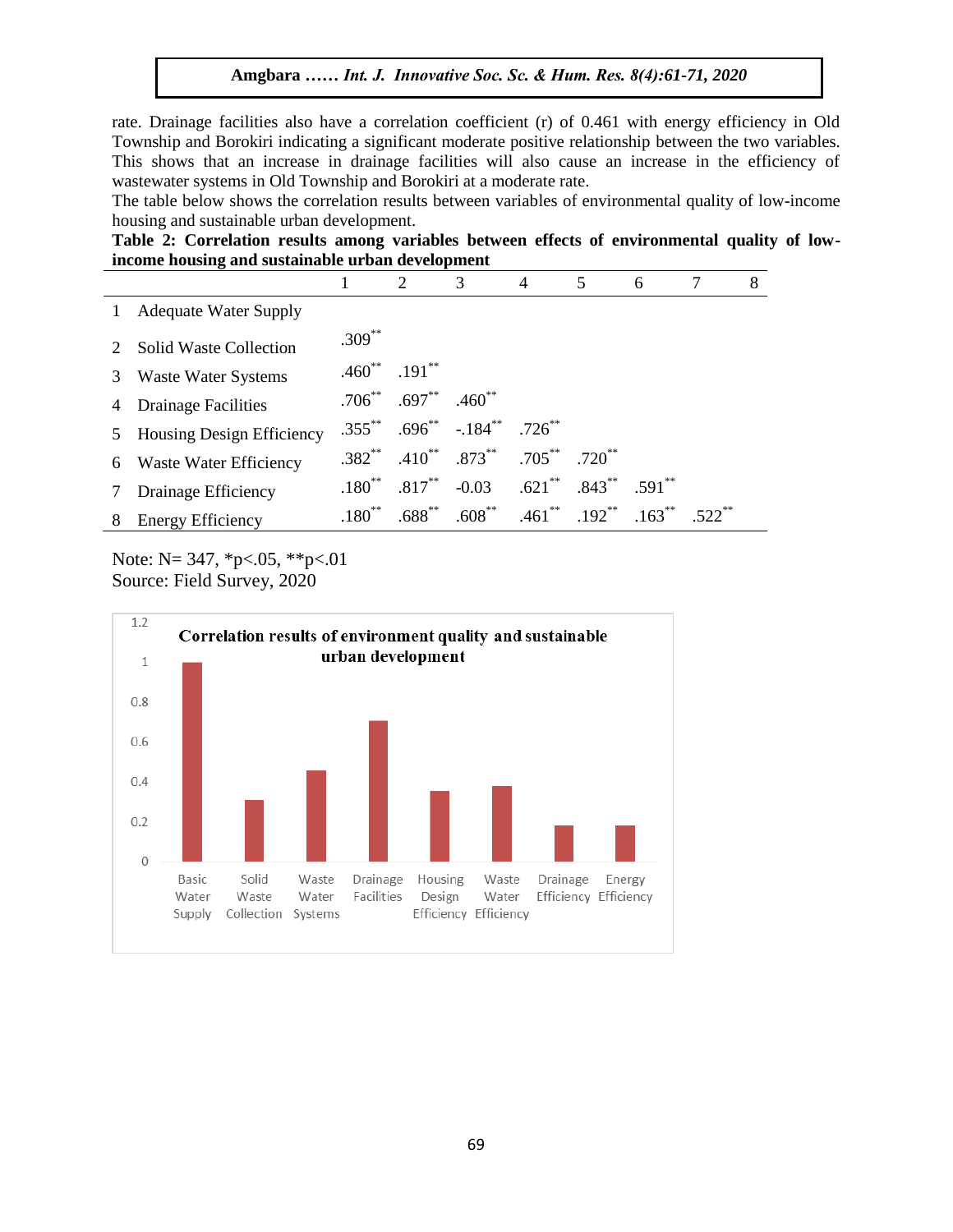rate. Drainage facilities also have a correlation coefficient (r) of 0.461 with energy efficiency in Old Township and Borokiri indicating a significant moderate positive relationship between the two variables. This shows that an increase in drainage facilities will also cause an increase in the efficiency of wastewater systems in Old Township and Borokiri at a moderate rate.

The table below shows the correlation results between variables of environmental quality of low-income housing and sustainable urban development.

**Table 2: Correlation results among variables between effects of environmental quality of lowincome housing and sustainable urban development**

|                |                               |                         | 2                                   | 3                                                | $\overline{4}$ | 5           | 6        |           | 8 |
|----------------|-------------------------------|-------------------------|-------------------------------------|--------------------------------------------------|----------------|-------------|----------|-----------|---|
| $\mathbf{1}$   | <b>Adequate Water Supply</b>  |                         |                                     |                                                  |                |             |          |           |   |
| 2              | <b>Solid Waste Collection</b> | $.309^{**}$             |                                     |                                                  |                |             |          |           |   |
| 3              | <b>Waste Water Systems</b>    | $.460^{**}$ $.191^{**}$ |                                     |                                                  |                |             |          |           |   |
| $\overline{4}$ | <b>Drainage Facilities</b>    |                         | $.706^{**}$ $.697^{**}$ $.460^{**}$ |                                                  |                |             |          |           |   |
|                | 5 Housing Design Efficiency   |                         |                                     | $.355^{**}$ $.696^{**}$ $-.184^{**}$ $.726^{**}$ |                |             |          |           |   |
|                | 6 Waste Water Efficiency      |                         |                                     | $.382^{**}$ $.410^{**}$ $.873^{**}$ $.705^{**}$  |                | $.720^{**}$ |          |           |   |
| 7              | Drainage Efficiency           |                         | $.180^{**}$ $.817^{**}$             | $-0.03$ $.621^{**}$ $.843^{**}$                  |                |             | $.591**$ |           |   |
|                | 8 Energy Efficiency           | $.180^{**}$             | $.688^{**}$                         | $.608^{**}$ $.461^{**}$ $.192^{**}$ $.163^{**}$  |                |             |          | $.522$ ** |   |
|                |                               |                         |                                     |                                                  |                |             |          |           |   |

Note: N= 347, \*p<.05, \*\*p<.01 Source: Field Survey, 2020

![](_page_8_Figure_6.jpeg)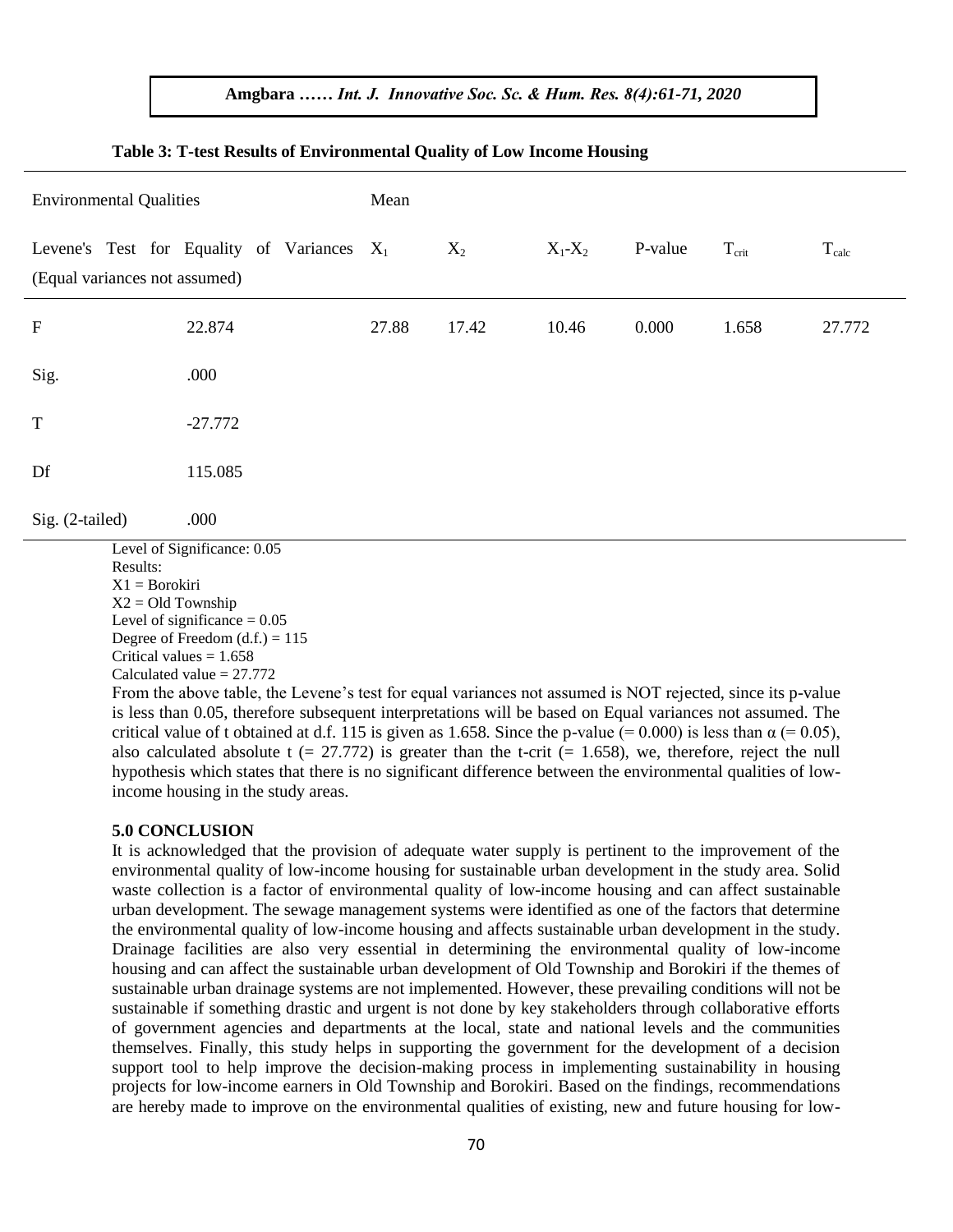| <b>Environmental Qualities</b>                                                                                                                                                                                                                                                                                                                     | Mean                                                                                                       |       |       |             |         |                   |            |
|----------------------------------------------------------------------------------------------------------------------------------------------------------------------------------------------------------------------------------------------------------------------------------------------------------------------------------------------------|------------------------------------------------------------------------------------------------------------|-------|-------|-------------|---------|-------------------|------------|
|                                                                                                                                                                                                                                                                                                                                                    | Levene's Test for Equality of Variances $X_1$                                                              |       | $X_2$ | $X_1 - X_2$ | P-value | $T_{\text{crit}}$ | $T_{calc}$ |
| (Equal variances not assumed)                                                                                                                                                                                                                                                                                                                      |                                                                                                            |       |       |             |         |                   |            |
| F                                                                                                                                                                                                                                                                                                                                                  | 22.874                                                                                                     | 27.88 | 17.42 | 10.46       | 0.000   | 1.658             | 27.772     |
| Sig.                                                                                                                                                                                                                                                                                                                                               | .000                                                                                                       |       |       |             |         |                   |            |
| T                                                                                                                                                                                                                                                                                                                                                  | $-27.772$                                                                                                  |       |       |             |         |                   |            |
| Df                                                                                                                                                                                                                                                                                                                                                 | 115.085                                                                                                    |       |       |             |         |                   |            |
| .000<br>Sig. (2-tailed)                                                                                                                                                                                                                                                                                                                            |                                                                                                            |       |       |             |         |                   |            |
|                                                                                                                                                                                                                                                                                                                                                    | Level of Significance: 0.05                                                                                |       |       |             |         |                   |            |
| Results:                                                                                                                                                                                                                                                                                                                                           |                                                                                                            |       |       |             |         |                   |            |
| $X1 = B$ orokiri<br>$X2 = Old Township$                                                                                                                                                                                                                                                                                                            |                                                                                                            |       |       |             |         |                   |            |
| Level of significance $= 0.05$                                                                                                                                                                                                                                                                                                                     |                                                                                                            |       |       |             |         |                   |            |
| Degree of Freedom $(d.f.) = 115$                                                                                                                                                                                                                                                                                                                   |                                                                                                            |       |       |             |         |                   |            |
|                                                                                                                                                                                                                                                                                                                                                    | Critical values $= 1.658$                                                                                  |       |       |             |         |                   |            |
|                                                                                                                                                                                                                                                                                                                                                    | Calculated value $= 27.772$                                                                                |       |       |             |         |                   |            |
| From the above table, the Levene's test for equal variances not assumed is NOT rejected, since its p-value<br>is less than 0.05, therefore subsequent interpretations will be based on Equal variances not assumed. The<br>critical value of t obtained at d.f. 115 is given as 1.658. Since the p-value (= 0.000) is less than $\alpha$ (= 0.05), |                                                                                                            |       |       |             |         |                   |            |
|                                                                                                                                                                                                                                                                                                                                                    |                                                                                                            |       |       |             |         |                   |            |
|                                                                                                                                                                                                                                                                                                                                                    |                                                                                                            |       |       |             |         |                   |            |
|                                                                                                                                                                                                                                                                                                                                                    | also calculated absolute t (= 27.772) is greater than the t-crit (= 1.658), we, therefore, reject the null |       |       |             |         |                   |            |
| hypothesis which states that there is no significant difference between the environmental qualities of low-                                                                                                                                                                                                                                        |                                                                                                            |       |       |             |         |                   |            |

# Table 3: T-test Results of Environmental Quality of Low Income Housing

#### **5.0 CONCLUSION**

income housing in the study areas.

It is acknowledged that the provision of adequate water supply is pertinent to the improvement of the environmental quality of low-income housing for sustainable urban development in the study area. Solid waste collection is a factor of environmental quality of low-income housing and can affect sustainable urban development. The sewage management systems were identified as one of the factors that determine the environmental quality of low-income housing and affects sustainable urban development in the study. Drainage facilities are also very essential in determining the environmental quality of low-income housing and can affect the sustainable urban development of Old Township and Borokiri if the themes of sustainable urban drainage systems are not implemented. However, these prevailing conditions will not be sustainable if something drastic and urgent is not done by key stakeholders through collaborative efforts of government agencies and departments at the local, state and national levels and the communities themselves. Finally, this study helps in supporting the government for the development of a decision support tool to help improve the decision-making process in implementing sustainability in housing projects for low-income earners in Old Township and Borokiri. Based on the findings, recommendations are hereby made to improve on the environmental qualities of existing, new and future housing for low-